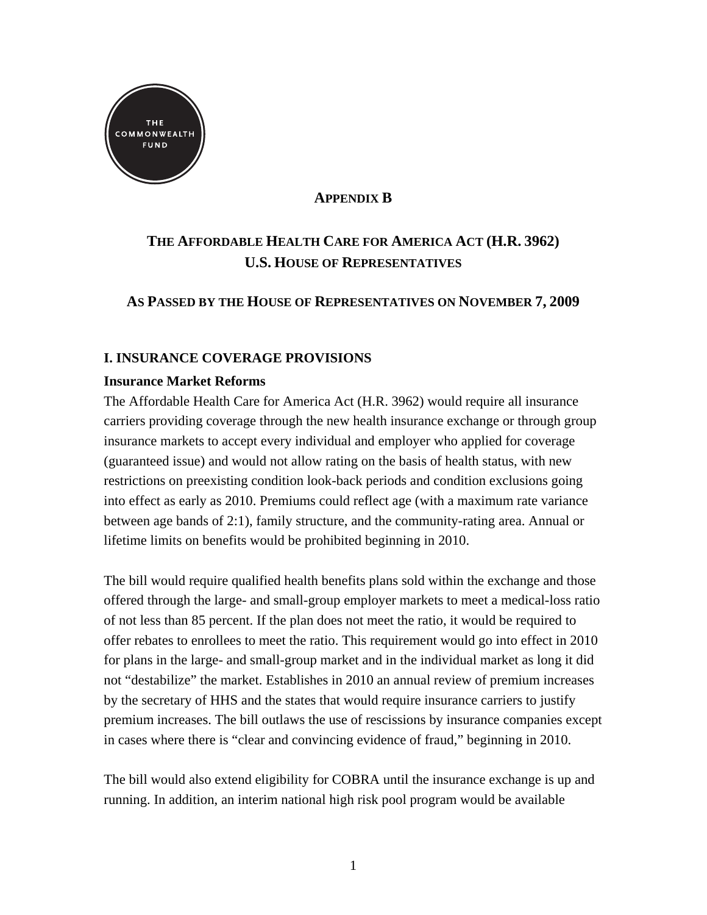

## **APPENDIX B**

# **THE AFFORDABLE HEALTH CARE FOR AMERICA ACT (H.R. 3962) U.S. HOUSE OF REPRESENTATIVES**

## **AS PASSED BY THE HOUSE OF REPRESENTATIVES ON NOVEMBER 7, 2009**

## **I. INSURANCE COVERAGE PROVISIONS**

## **Insurance Market Reforms**

The Affordable Health Care for America Act (H.R. 3962) would require all insurance carriers providing coverage through the new health insurance exchange or through group insurance markets to accept every individual and employer who applied for coverage (guaranteed issue) and would not allow rating on the basis of health status, with new restrictions on preexisting condition look-back periods and condition exclusions going into effect as early as 2010. Premiums could reflect age (with a maximum rate variance between age bands of 2:1), family structure, and the community-rating area. Annual or lifetime limits on benefits would be prohibited beginning in 2010.

The bill would require qualified health benefits plans sold within the exchange and those offered through the large- and small-group employer markets to meet a medical-loss ratio of not less than 85 percent. If the plan does not meet the ratio, it would be required to offer rebates to enrollees to meet the ratio. This requirement would go into effect in 2010 for plans in the large- and small-group market and in the individual market as long it did not "destabilize" the market. Establishes in 2010 an annual review of premium increases by the secretary of HHS and the states that would require insurance carriers to justify premium increases. The bill outlaws the use of rescissions by insurance companies except in cases where there is "clear and convincing evidence of fraud," beginning in 2010.

The bill would also extend eligibility for COBRA until the insurance exchange is up and running. In addition, an interim national high risk pool program would be available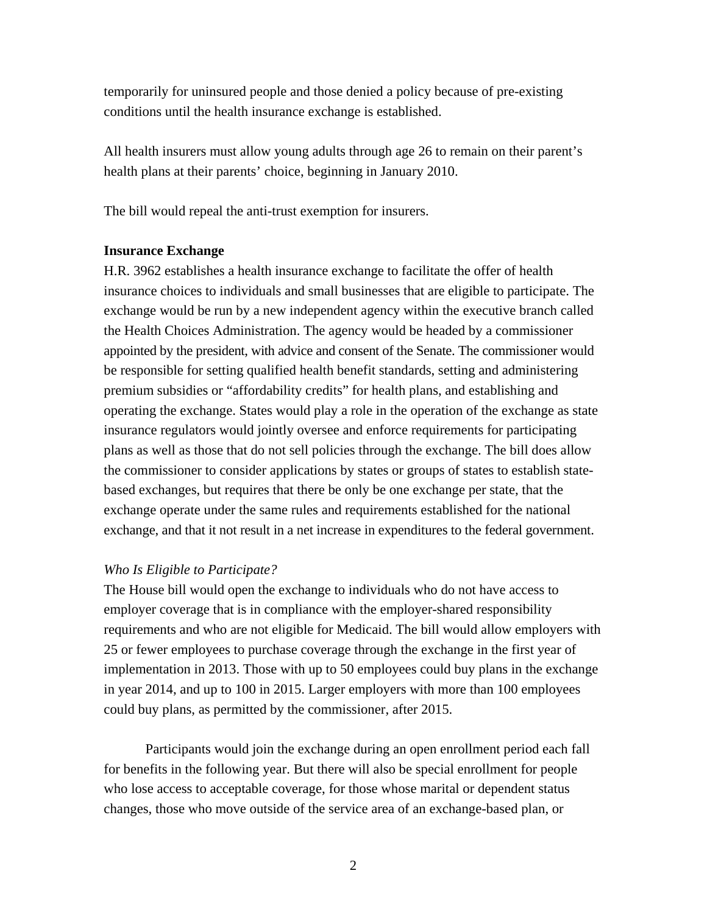temporarily for uninsured people and those denied a policy because of pre-existing conditions until the health insurance exchange is established.

All health insurers must allow young adults through age 26 to remain on their parent's health plans at their parents' choice, beginning in January 2010.

The bill would repeal the anti-trust exemption for insurers.

### **Insurance Exchange**

H.R. 3962 establishes a health insurance exchange to facilitate the offer of health insurance choices to individuals and small businesses that are eligible to participate. The exchange would be run by a new independent agency within the executive branch called the Health Choices Administration. The agency would be headed by a commissioner appointed by the president, with advice and consent of the Senate. The commissioner would be responsible for setting qualified health benefit standards, setting and administering premium subsidies or "affordability credits" for health plans, and establishing and operating the exchange. States would play a role in the operation of the exchange as state insurance regulators would jointly oversee and enforce requirements for participating plans as well as those that do not sell policies through the exchange. The bill does allow the commissioner to consider applications by states or groups of states to establish statebased exchanges, but requires that there be only be one exchange per state, that the exchange operate under the same rules and requirements established for the national exchange, and that it not result in a net increase in expenditures to the federal government.

### *Who Is Eligible to Participate?*

The House bill would open the exchange to individuals who do not have access to employer coverage that is in compliance with the employer-shared responsibility requirements and who are not eligible for Medicaid. The bill would allow employers with 25 or fewer employees to purchase coverage through the exchange in the first year of implementation in 2013. Those with up to 50 employees could buy plans in the exchange in year 2014, and up to 100 in 2015. Larger employers with more than 100 employees could buy plans, as permitted by the commissioner, after 2015.

Participants would join the exchange during an open enrollment period each fall for benefits in the following year. But there will also be special enrollment for people who lose access to acceptable coverage, for those whose marital or dependent status changes, those who move outside of the service area of an exchange-based plan, or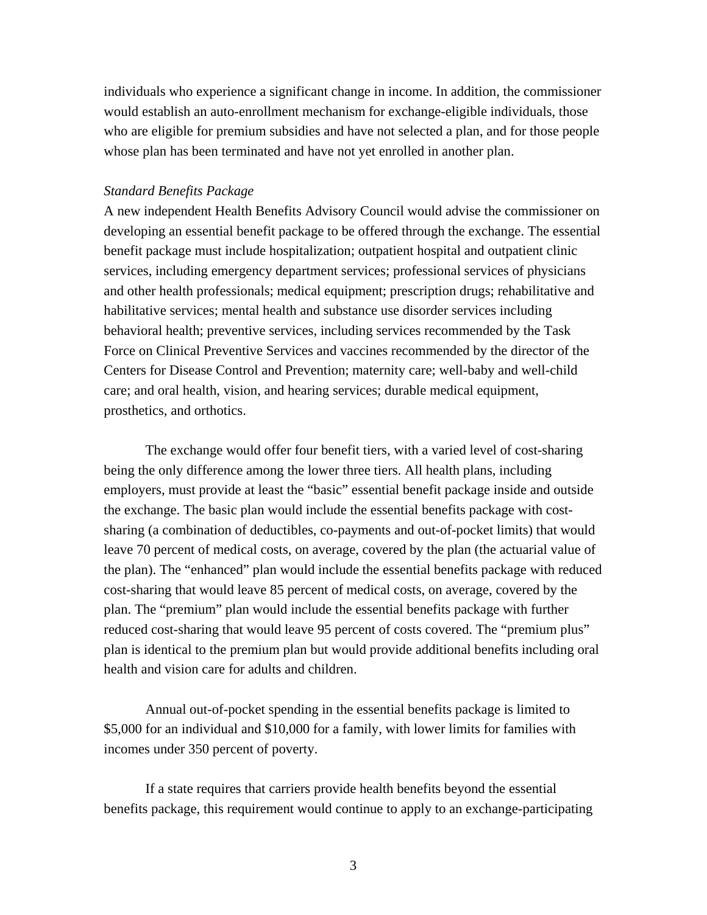individuals who experience a significant change in income. In addition, the commissioner would establish an auto-enrollment mechanism for exchange-eligible individuals, those who are eligible for premium subsidies and have not selected a plan, and for those people whose plan has been terminated and have not yet enrolled in another plan.

#### *Standard Benefits Package*

A new independent Health Benefits Advisory Council would advise the commissioner on developing an essential benefit package to be offered through the exchange. The essential benefit package must include hospitalization; outpatient hospital and outpatient clinic services, including emergency department services; professional services of physicians and other health professionals; medical equipment; prescription drugs; rehabilitative and habilitative services; mental health and substance use disorder services including behavioral health; preventive services, including services recommended by the Task Force on Clinical Preventive Services and vaccines recommended by the director of the Centers for Disease Control and Prevention; maternity care; well-baby and well-child care; and oral health, vision, and hearing services; durable medical equipment, prosthetics, and orthotics.

The exchange would offer four benefit tiers, with a varied level of cost-sharing being the only difference among the lower three tiers. All health plans, including employers, must provide at least the "basic" essential benefit package inside and outside the exchange. The basic plan would include the essential benefits package with costsharing (a combination of deductibles, co-payments and out-of-pocket limits) that would leave 70 percent of medical costs, on average, covered by the plan (the actuarial value of the plan). The "enhanced" plan would include the essential benefits package with reduced cost-sharing that would leave 85 percent of medical costs, on average, covered by the plan. The "premium" plan would include the essential benefits package with further reduced cost-sharing that would leave 95 percent of costs covered. The "premium plus" plan is identical to the premium plan but would provide additional benefits including oral health and vision care for adults and children.

Annual out-of-pocket spending in the essential benefits package is limited to \$5,000 for an individual and \$10,000 for a family, with lower limits for families with incomes under 350 percent of poverty.

If a state requires that carriers provide health benefits beyond the essential benefits package, this requirement would continue to apply to an exchange-participating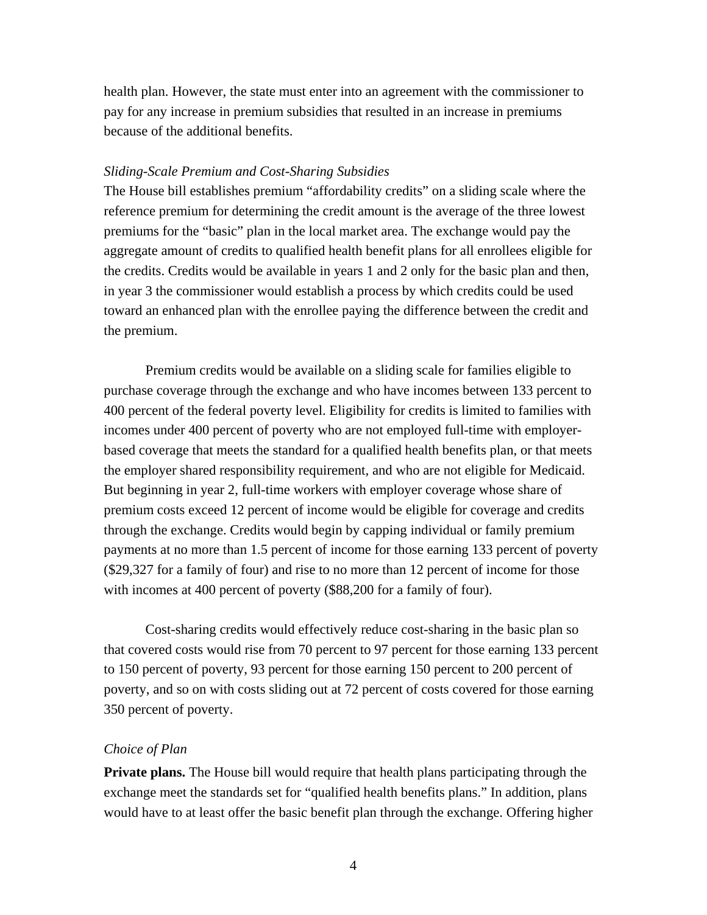health plan. However, the state must enter into an agreement with the commissioner to pay for any increase in premium subsidies that resulted in an increase in premiums because of the additional benefits.

#### *Sliding-Scale Premium and Cost-Sharing Subsidies*

The House bill establishes premium "affordability credits" on a sliding scale where the reference premium for determining the credit amount is the average of the three lowest premiums for the "basic" plan in the local market area. The exchange would pay the aggregate amount of credits to qualified health benefit plans for all enrollees eligible for the credits. Credits would be available in years 1 and 2 only for the basic plan and then, in year 3 the commissioner would establish a process by which credits could be used toward an enhanced plan with the enrollee paying the difference between the credit and the premium.

Premium credits would be available on a sliding scale for families eligible to purchase coverage through the exchange and who have incomes between 133 percent to 400 percent of the federal poverty level. Eligibility for credits is limited to families with incomes under 400 percent of poverty who are not employed full-time with employerbased coverage that meets the standard for a qualified health benefits plan, or that meets the employer shared responsibility requirement, and who are not eligible for Medicaid. But beginning in year 2, full-time workers with employer coverage whose share of premium costs exceed 12 percent of income would be eligible for coverage and credits through the exchange. Credits would begin by capping individual or family premium payments at no more than 1.5 percent of income for those earning 133 percent of poverty (\$29,327 for a family of four) and rise to no more than 12 percent of income for those with incomes at 400 percent of poverty (\$88,200 for a family of four).

Cost-sharing credits would effectively reduce cost-sharing in the basic plan so that covered costs would rise from 70 percent to 97 percent for those earning 133 percent to 150 percent of poverty, 93 percent for those earning 150 percent to 200 percent of poverty, and so on with costs sliding out at 72 percent of costs covered for those earning 350 percent of poverty.

### *Choice of Plan*

**Private plans.** The House bill would require that health plans participating through the exchange meet the standards set for "qualified health benefits plans." In addition, plans would have to at least offer the basic benefit plan through the exchange. Offering higher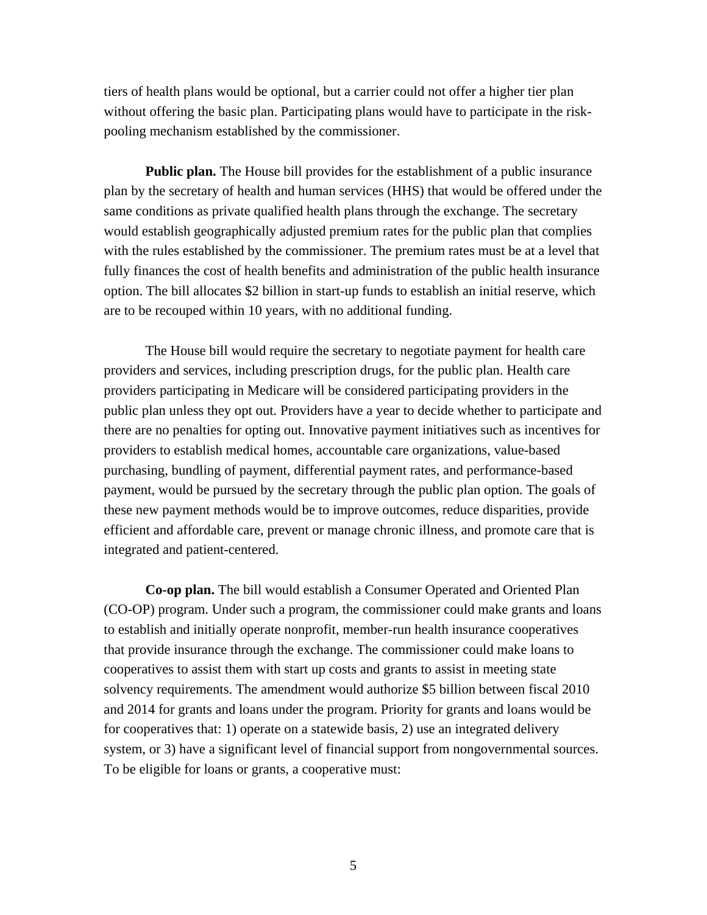tiers of health plans would be optional, but a carrier could not offer a higher tier plan without offering the basic plan. Participating plans would have to participate in the riskpooling mechanism established by the commissioner.

**Public plan.** The House bill provides for the establishment of a public insurance plan by the secretary of health and human services (HHS) that would be offered under the same conditions as private qualified health plans through the exchange. The secretary would establish geographically adjusted premium rates for the public plan that complies with the rules established by the commissioner. The premium rates must be at a level that fully finances the cost of health benefits and administration of the public health insurance option. The bill allocates \$2 billion in start-up funds to establish an initial reserve, which are to be recouped within 10 years, with no additional funding.

The House bill would require the secretary to negotiate payment for health care providers and services, including prescription drugs, for the public plan. Health care providers participating in Medicare will be considered participating providers in the public plan unless they opt out. Providers have a year to decide whether to participate and there are no penalties for opting out. Innovative payment initiatives such as incentives for providers to establish medical homes, accountable care organizations, value-based purchasing, bundling of payment, differential payment rates, and performance-based payment, would be pursued by the secretary through the public plan option. The goals of these new payment methods would be to improve outcomes, reduce disparities, provide efficient and affordable care, prevent or manage chronic illness, and promote care that is integrated and patient-centered.

**Co-op plan.** The bill would establish a Consumer Operated and Oriented Plan (CO-OP) program. Under such a program, the commissioner could make grants and loans to establish and initially operate nonprofit, member-run health insurance cooperatives that provide insurance through the exchange. The commissioner could make loans to cooperatives to assist them with start up costs and grants to assist in meeting state solvency requirements. The amendment would authorize \$5 billion between fiscal 2010 and 2014 for grants and loans under the program. Priority for grants and loans would be for cooperatives that: 1) operate on a statewide basis, 2) use an integrated delivery system, or 3) have a significant level of financial support from nongovernmental sources. To be eligible for loans or grants, a cooperative must: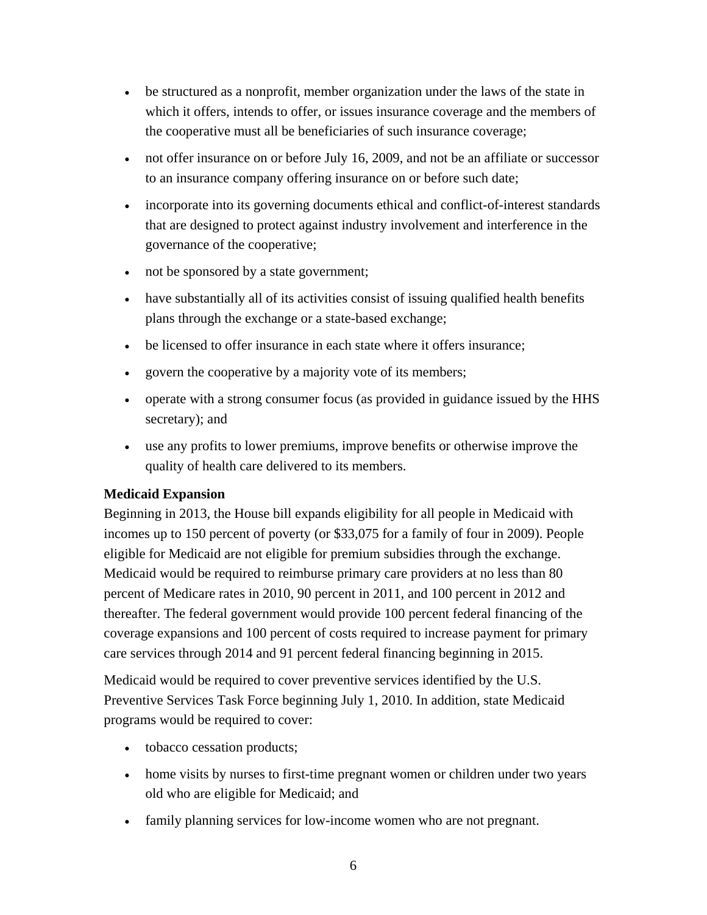- be structured as a nonprofit, member organization under the laws of the state in which it offers, intends to offer, or issues insurance coverage and the members of the cooperative must all be beneficiaries of such insurance coverage;
- not offer insurance on or before July 16, 2009, and not be an affiliate or successor to an insurance company offering insurance on or before such date;
- incorporate into its governing documents ethical and conflict-of-interest standards that are designed to protect against industry involvement and interference in the governance of the cooperative;
- not be sponsored by a state government;
- have substantially all of its activities consist of issuing qualified health benefits plans through the exchange or a state-based exchange;
- be licensed to offer insurance in each state where it offers insurance:
- govern the cooperative by a majority vote of its members;
- operate with a strong consumer focus (as provided in guidance issued by the HHS secretary); and
- use any profits to lower premiums, improve benefits or otherwise improve the quality of health care delivered to its members.

## **Medicaid Expansion**

Beginning in 2013, the House bill expands eligibility for all people in Medicaid with incomes up to 150 percent of poverty (or \$33,075 for a family of four in 2009). People eligible for Medicaid are not eligible for premium subsidies through the exchange. Medicaid would be required to reimburse primary care providers at no less than 80 percent of Medicare rates in 2010, 90 percent in 2011, and 100 percent in 2012 and thereafter. The federal government would provide 100 percent federal financing of the coverage expansions and 100 percent of costs required to increase payment for primary care services through 2014 and 91 percent federal financing beginning in 2015.

Medicaid would be required to cover preventive services identified by the U.S. Preventive Services Task Force beginning July 1, 2010. In addition, state Medicaid programs would be required to cover:

- tobacco cessation products;
- home visits by nurses to first-time pregnant women or children under two years old who are eligible for Medicaid; and
- family planning services for low-income women who are not pregnant.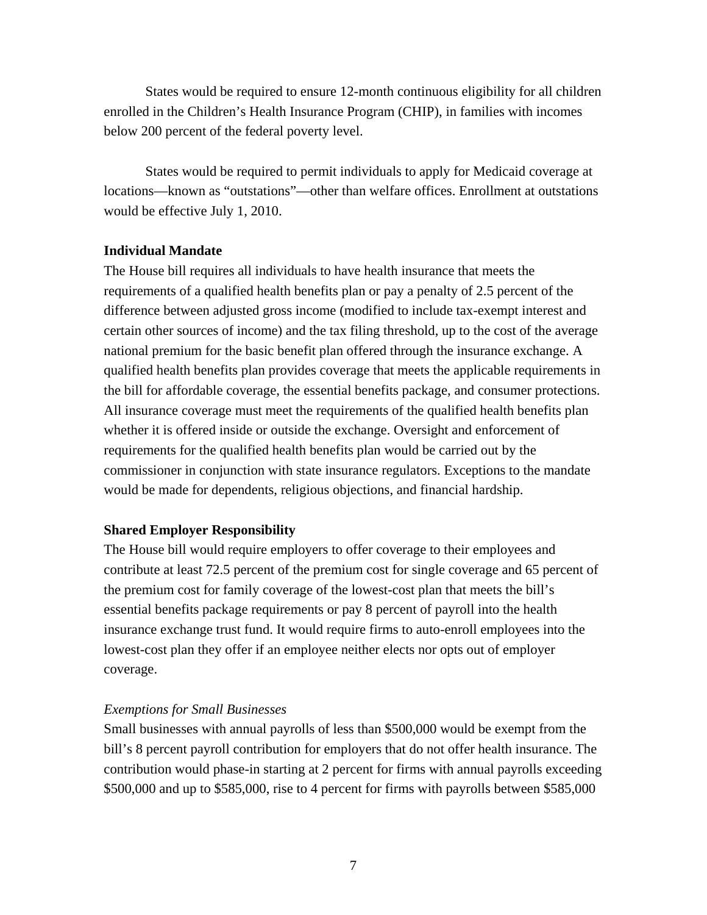States would be required to ensure 12-month continuous eligibility for all children enrolled in the Children's Health Insurance Program (CHIP), in families with incomes below 200 percent of the federal poverty level.

States would be required to permit individuals to apply for Medicaid coverage at locations—known as "outstations"—other than welfare offices. Enrollment at outstations would be effective July 1, 2010.

### **Individual Mandate**

The House bill requires all individuals to have health insurance that meets the requirements of a qualified health benefits plan or pay a penalty of 2.5 percent of the difference between adjusted gross income (modified to include tax-exempt interest and certain other sources of income) and the tax filing threshold, up to the cost of the average national premium for the basic benefit plan offered through the insurance exchange. A qualified health benefits plan provides coverage that meets the applicable requirements in the bill for affordable coverage, the essential benefits package, and consumer protections. All insurance coverage must meet the requirements of the qualified health benefits plan whether it is offered inside or outside the exchange. Oversight and enforcement of requirements for the qualified health benefits plan would be carried out by the commissioner in conjunction with state insurance regulators. Exceptions to the mandate would be made for dependents, religious objections, and financial hardship.

### **Shared Employer Responsibility**

The House bill would require employers to offer coverage to their employees and contribute at least 72.5 percent of the premium cost for single coverage and 65 percent of the premium cost for family coverage of the lowest-cost plan that meets the bill's essential benefits package requirements or pay 8 percent of payroll into the health insurance exchange trust fund. It would require firms to auto-enroll employees into the lowest-cost plan they offer if an employee neither elects nor opts out of employer coverage.

#### *Exemptions for Small Businesses*

Small businesses with annual payrolls of less than \$500,000 would be exempt from the bill's 8 percent payroll contribution for employers that do not offer health insurance. The contribution would phase-in starting at 2 percent for firms with annual payrolls exceeding \$500,000 and up to \$585,000, rise to 4 percent for firms with payrolls between \$585,000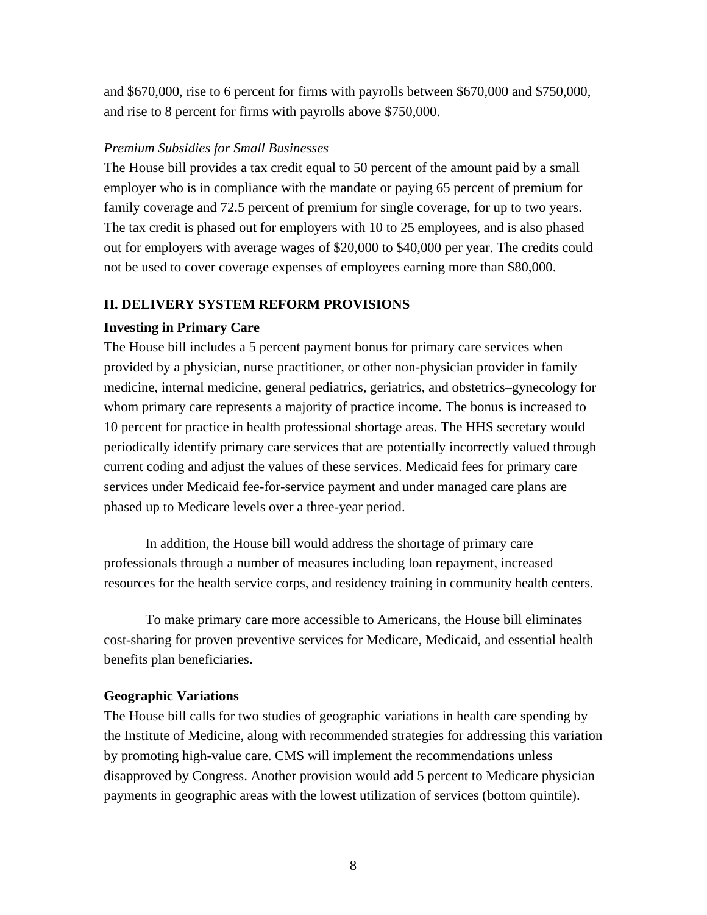and \$670,000, rise to 6 percent for firms with payrolls between \$670,000 and \$750,000, and rise to 8 percent for firms with payrolls above \$750,000.

## *Premium Subsidies for Small Businesses*

The House bill provides a tax credit equal to 50 percent of the amount paid by a small employer who is in compliance with the mandate or paying 65 percent of premium for family coverage and 72.5 percent of premium for single coverage, for up to two years. The tax credit is phased out for employers with 10 to 25 employees, and is also phased out for employers with average wages of \$20,000 to \$40,000 per year. The credits could not be used to cover coverage expenses of employees earning more than \$80,000.

## **II. DELIVERY SYSTEM REFORM PROVISIONS**

## **Investing in Primary Care**

The House bill includes a 5 percent payment bonus for primary care services when provided by a physician, nurse practitioner, or other non-physician provider in family medicine, internal medicine, general pediatrics, geriatrics, and obstetrics–gynecology for whom primary care represents a majority of practice income. The bonus is increased to 10 percent for practice in health professional shortage areas. The HHS secretary would periodically identify primary care services that are potentially incorrectly valued through current coding and adjust the values of these services. Medicaid fees for primary care services under Medicaid fee-for-service payment and under managed care plans are phased up to Medicare levels over a three-year period.

In addition, the House bill would address the shortage of primary care professionals through a number of measures including loan repayment, increased resources for the health service corps, and residency training in community health centers.

To make primary care more accessible to Americans, the House bill eliminates cost-sharing for proven preventive services for Medicare, Medicaid, and essential health benefits plan beneficiaries.

### **Geographic Variations**

The House bill calls for two studies of geographic variations in health care spending by the Institute of Medicine, along with recommended strategies for addressing this variation by promoting high-value care. CMS will implement the recommendations unless disapproved by Congress. Another provision would add 5 percent to Medicare physician payments in geographic areas with the lowest utilization of services (bottom quintile).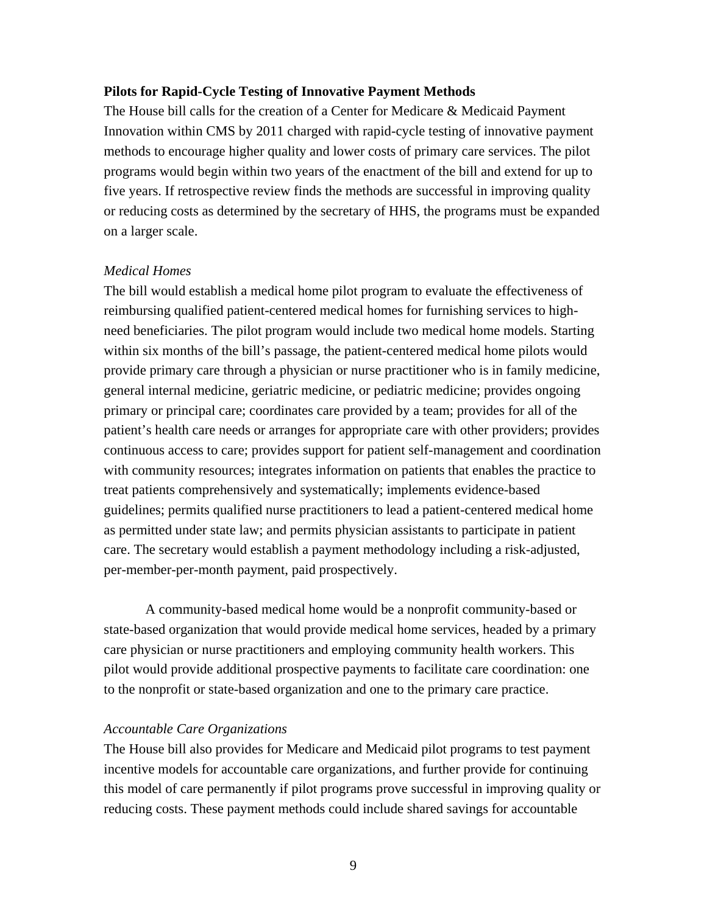#### **Pilots for Rapid-Cycle Testing of Innovative Payment Methods**

The House bill calls for the creation of a Center for Medicare & Medicaid Payment Innovation within CMS by 2011 charged with rapid-cycle testing of innovative payment methods to encourage higher quality and lower costs of primary care services. The pilot programs would begin within two years of the enactment of the bill and extend for up to five years. If retrospective review finds the methods are successful in improving quality or reducing costs as determined by the secretary of HHS, the programs must be expanded on a larger scale.

#### *Medical Homes*

The bill would establish a medical home pilot program to evaluate the effectiveness of reimbursing qualified patient-centered medical homes for furnishing services to highneed beneficiaries. The pilot program would include two medical home models. Starting within six months of the bill's passage, the patient-centered medical home pilots would provide primary care through a physician or nurse practitioner who is in family medicine, general internal medicine, geriatric medicine, or pediatric medicine; provides ongoing primary or principal care; coordinates care provided by a team; provides for all of the patient's health care needs or arranges for appropriate care with other providers; provides continuous access to care; provides support for patient self-management and coordination with community resources; integrates information on patients that enables the practice to treat patients comprehensively and systematically; implements evidence-based guidelines; permits qualified nurse practitioners to lead a patient-centered medical home as permitted under state law; and permits physician assistants to participate in patient care. The secretary would establish a payment methodology including a risk-adjusted, per-member-per-month payment, paid prospectively.

A community-based medical home would be a nonprofit community-based or state-based organization that would provide medical home services, headed by a primary care physician or nurse practitioners and employing community health workers. This pilot would provide additional prospective payments to facilitate care coordination: one to the nonprofit or state-based organization and one to the primary care practice.

#### *Accountable Care Organizations*

The House bill also provides for Medicare and Medicaid pilot programs to test payment incentive models for accountable care organizations, and further provide for continuing this model of care permanently if pilot programs prove successful in improving quality or reducing costs. These payment methods could include shared savings for accountable

9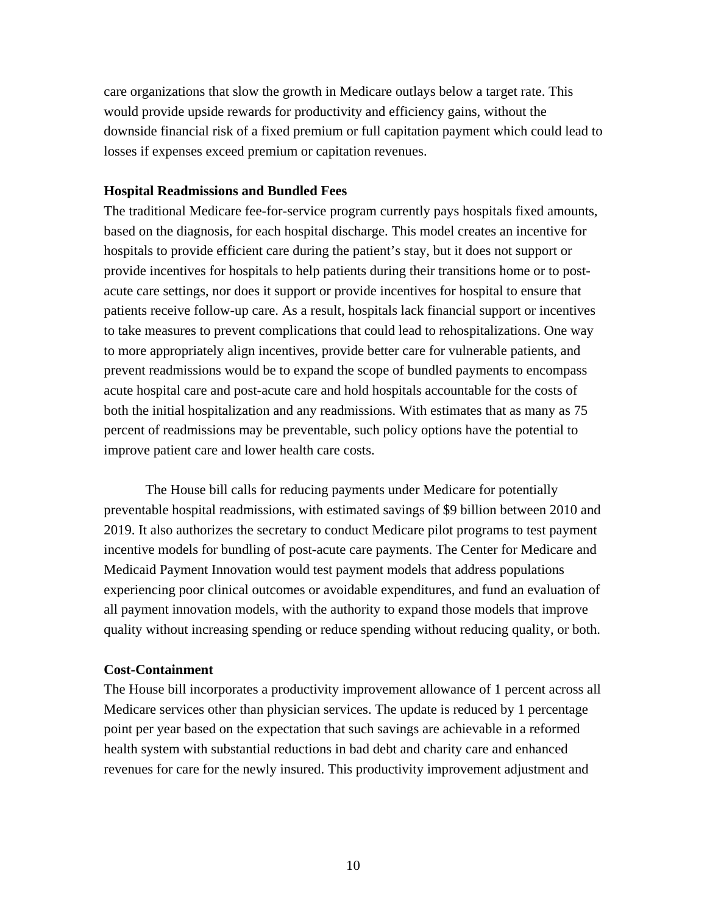care organizations that slow the growth in Medicare outlays below a target rate. This would provide upside rewards for productivity and efficiency gains, without the downside financial risk of a fixed premium or full capitation payment which could lead to losses if expenses exceed premium or capitation revenues.

### **Hospital Readmissions and Bundled Fees**

The traditional Medicare fee-for-service program currently pays hospitals fixed amounts, based on the diagnosis, for each hospital discharge. This model creates an incentive for hospitals to provide efficient care during the patient's stay, but it does not support or provide incentives for hospitals to help patients during their transitions home or to postacute care settings, nor does it support or provide incentives for hospital to ensure that patients receive follow-up care. As a result, hospitals lack financial support or incentives to take measures to prevent complications that could lead to rehospitalizations. One way to more appropriately align incentives, provide better care for vulnerable patients, and prevent readmissions would be to expand the scope of bundled payments to encompass acute hospital care and post-acute care and hold hospitals accountable for the costs of both the initial hospitalization and any readmissions. With estimates that as many as 75 percent of readmissions may be preventable, such policy options have the potential to improve patient care and lower health care costs.

The House bill calls for reducing payments under Medicare for potentially preventable hospital readmissions, with estimated savings of \$9 billion between 2010 and 2019. It also authorizes the secretary to conduct Medicare pilot programs to test payment incentive models for bundling of post-acute care payments. The Center for Medicare and Medicaid Payment Innovation would test payment models that address populations experiencing poor clinical outcomes or avoidable expenditures, and fund an evaluation of all payment innovation models, with the authority to expand those models that improve quality without increasing spending or reduce spending without reducing quality, or both.

### **Cost-Containment**

The House bill incorporates a productivity improvement allowance of 1 percent across all Medicare services other than physician services. The update is reduced by 1 percentage point per year based on the expectation that such savings are achievable in a reformed health system with substantial reductions in bad debt and charity care and enhanced revenues for care for the newly insured. This productivity improvement adjustment and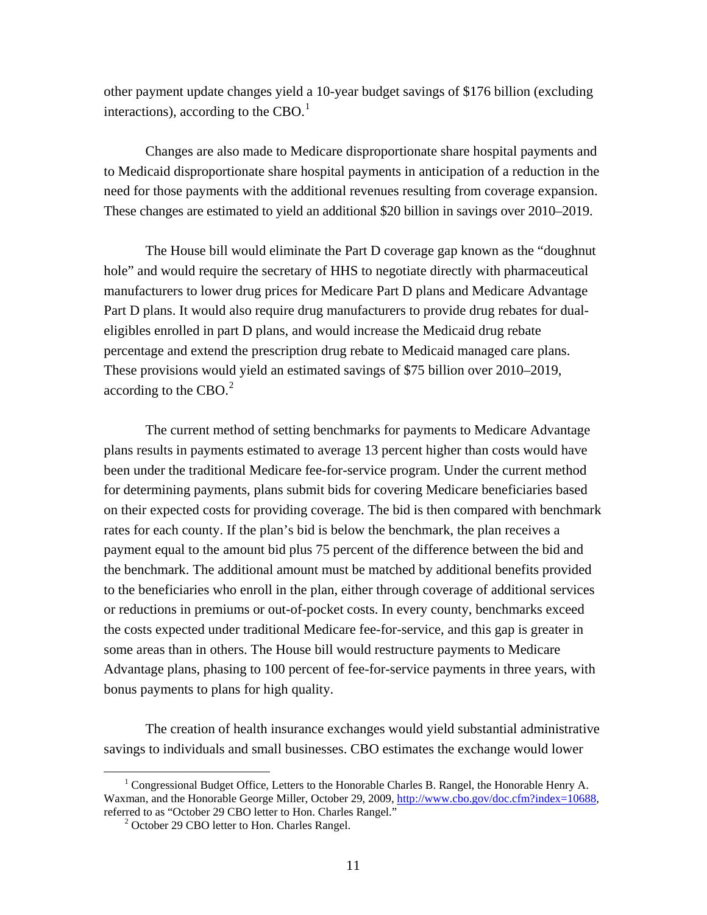other payment update changes yield a 10-year budget savings of \$176 billion (excluding interactions), according to the CBO.<sup>1</sup>

Changes are also made to Medicare disproportionate share hospital payments and to Medicaid disproportionate share hospital payments in anticipation of a reduction in the need for those payments with the additional revenues resulting from coverage expansion. These changes are estimated to yield an additional \$20 billion in savings over 2010–2019.

The House bill would eliminate the Part D coverage gap known as the "doughnut hole" and would require the secretary of HHS to negotiate directly with pharmaceutical manufacturers to lower drug prices for Medicare Part D plans and Medicare Advantage Part D plans. It would also require drug manufacturers to provide drug rebates for dualeligibles enrolled in part D plans, and would increase the Medicaid drug rebate percentage and extend the prescription drug rebate to Medicaid managed care plans. These provisions would yield an estimated savings of \$75 billion over 2010–2019, according to the CBO. $2$ 

The current method of setting benchmarks for payments to Medicare Advantage plans results in payments estimated to average 13 percent higher than costs would have been under the traditional Medicare fee-for-service program. Under the current method for determining payments, plans submit bids for covering Medicare beneficiaries based on their expected costs for providing coverage. The bid is then compared with benchmark rates for each county. If the plan's bid is below the benchmark, the plan receives a payment equal to the amount bid plus 75 percent of the difference between the bid and the benchmark. The additional amount must be matched by additional benefits provided to the beneficiaries who enroll in the plan, either through coverage of additional services or reductions in premiums or out-of-pocket costs. In every county, benchmarks exceed the costs expected under traditional Medicare fee-for-service, and this gap is greater in some areas than in others. The House bill would restructure payments to Medicare Advantage plans, phasing to 100 percent of fee-for-service payments in three years, with bonus payments to plans for high quality.

The creation of health insurance exchanges would yield substantial administrative savings to individuals and small businesses. CBO estimates the exchange would lower

 <sup>1</sup> <sup>1</sup> Congressional Budget Office, Letters to the Honorable Charles B. Rangel, the Honorable Henry A. Waxman, and the Honorable George Miller, October 29, 2009, [http://www.cbo.gov/doc.cfm?index=10688,](http://www.cbo.gov/doc.cfm?index=10688) referred to as "October 29 CBO letter to Hon. Charles Rangel." 2

<sup>&</sup>lt;sup>2</sup> October 29 CBO letter to Hon. Charles Rangel.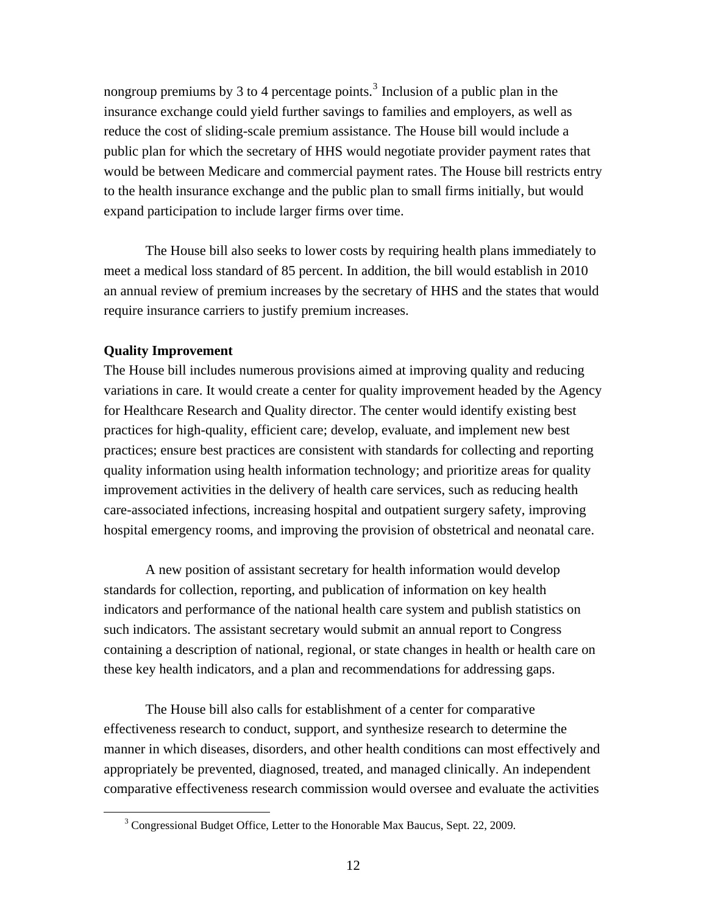nongroup premiums by 3 to 4 percentage points.<sup>3</sup> Inclusion of a public plan in the insurance exchange could yield further savings to families and employers, as well as reduce the cost of sliding-scale premium assistance. The House bill would include a public plan for which the secretary of HHS would negotiate provider payment rates that would be between Medicare and commercial payment rates. The House bill restricts entry to the health insurance exchange and the public plan to small firms initially, but would expand participation to include larger firms over time.

The House bill also seeks to lower costs by requiring health plans immediately to meet a medical loss standard of 85 percent. In addition, the bill would establish in 2010 an annual review of premium increases by the secretary of HHS and the states that would require insurance carriers to justify premium increases.

## **Quality Improvement**

The House bill includes numerous provisions aimed at improving quality and reducing variations in care. It would create a center for quality improvement headed by the Agency for Healthcare Research and Quality director. The center would identify existing best practices for high-quality, efficient care; develop, evaluate, and implement new best practices; ensure best practices are consistent with standards for collecting and reporting quality information using health information technology; and prioritize areas for quality improvement activities in the delivery of health care services, such as reducing health care-associated infections, increasing hospital and outpatient surgery safety, improving hospital emergency rooms, and improving the provision of obstetrical and neonatal care.

A new position of assistant secretary for health information would develop standards for collection, reporting, and publication of information on key health indicators and performance of the national health care system and publish statistics on such indicators. The assistant secretary would submit an annual report to Congress containing a description of national, regional, or state changes in health or health care on these key health indicators, and a plan and recommendations for addressing gaps.

The House bill also calls for establishment of a center for comparative effectiveness research to conduct, support, and synthesize research to determine the manner in which diseases, disorders, and other health conditions can most effectively and appropriately be prevented, diagnosed, treated, and managed clinically. An independent comparative effectiveness research commission would oversee and evaluate the activities

 <sup>3</sup> <sup>3</sup> Congressional Budget Office, Letter to the Honorable Max Baucus, Sept. 22, 2009.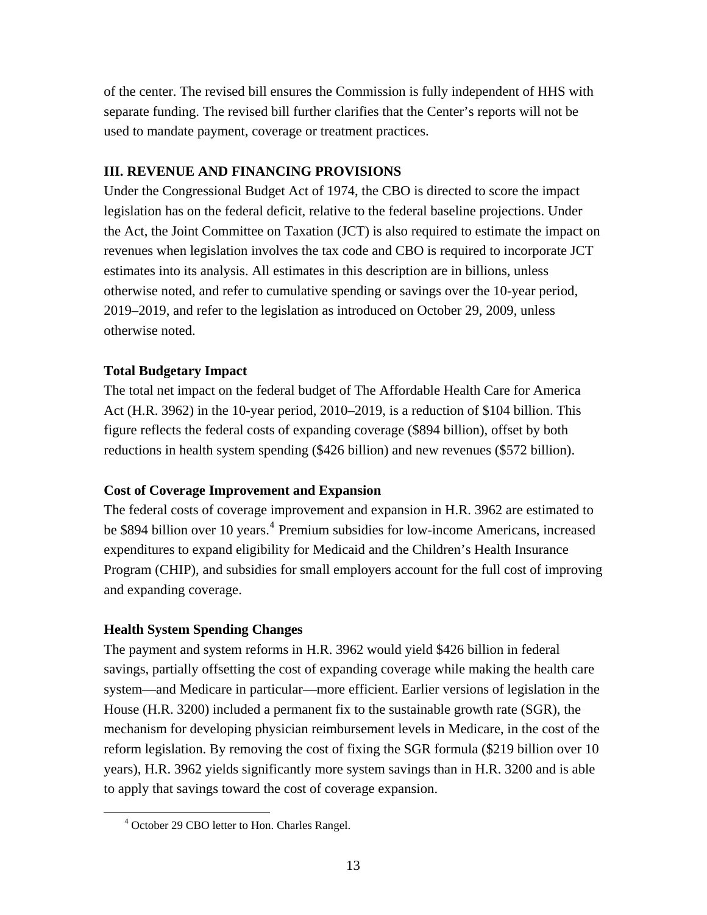of the center. The revised bill ensures the Commission is fully independent of HHS with separate funding. The revised bill further clarifies that the Center's reports will not be used to mandate payment, coverage or treatment practices.

## **III. REVENUE AND FINANCING PROVISIONS**

Under the Congressional Budget Act of 1974, the CBO is directed to score the impact legislation has on the federal deficit, relative to the federal baseline projections. Under the Act, the Joint Committee on Taxation (JCT) is also required to estimate the impact on revenues when legislation involves the tax code and CBO is required to incorporate JCT estimates into its analysis. All estimates in this description are in billions, unless otherwise noted, and refer to cumulative spending or savings over the 10-year period, 2019–2019, and refer to the legislation as introduced on October 29, 2009, unless otherwise noted.

## **Total Budgetary Impact**

The total net impact on the federal budget of The Affordable Health Care for America Act (H.R. 3962) in the 10-year period, 2010–2019, is a reduction of \$104 billion. This figure reflects the federal costs of expanding coverage (\$894 billion), offset by both reductions in health system spending (\$426 billion) and new revenues (\$572 billion).

## **Cost of Coverage Improvement and Expansion**

The federal costs of coverage improvement and expansion in H.R. 3962 are estimated to be \$894 billion over 10 years.<sup>4</sup> Premium subsidies for low-income Americans, increased expenditures to expand eligibility for Medicaid and the Children's Health Insurance Program (CHIP), and subsidies for small employers account for the full cost of improving and expanding coverage.

## **Health System Spending Changes**

The payment and system reforms in H.R. 3962 would yield \$426 billion in federal savings, partially offsetting the cost of expanding coverage while making the health care system—and Medicare in particular—more efficient. Earlier versions of legislation in the House (H.R. 3200) included a permanent fix to the sustainable growth rate (SGR), the mechanism for developing physician reimbursement levels in Medicare, in the cost of the reform legislation. By removing the cost of fixing the SGR formula (\$219 billion over 10 years), H.R. 3962 yields significantly more system savings than in H.R. 3200 and is able to apply that savings toward the cost of coverage expansion.

 $\overline{4}$ October 29 CBO letter to Hon. Charles Rangel.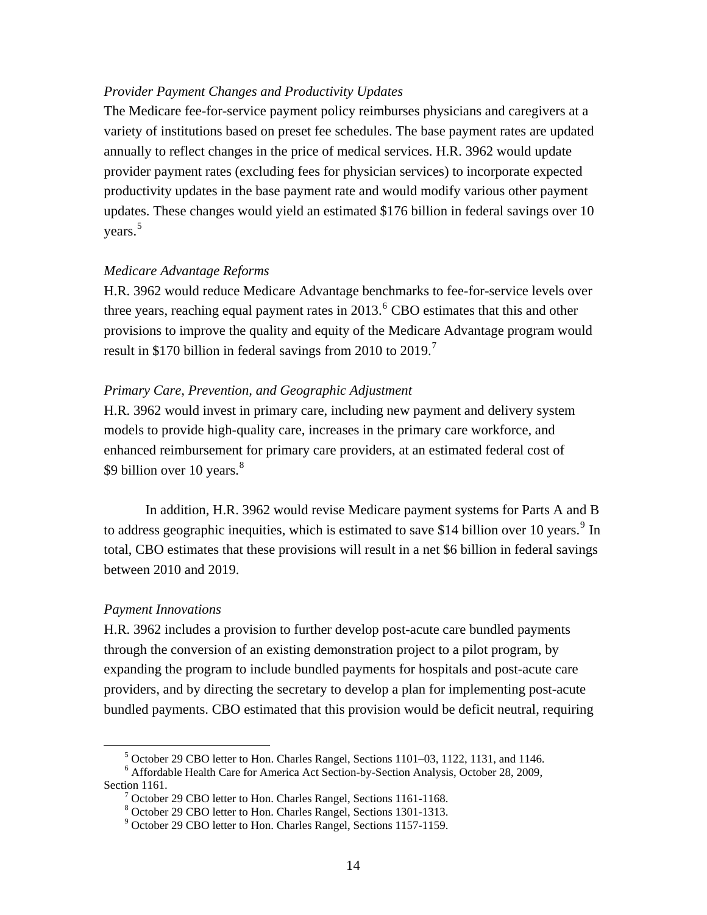### *Provider Payment Changes and Productivity Updates*

The Medicare fee-for-service payment policy reimburses physicians and caregivers at a variety of institutions based on preset fee schedules. The base payment rates are updated annually to reflect changes in the price of medical services. H.R. 3962 would update provider payment rates (excluding fees for physician services) to incorporate expected productivity updates in the base payment rate and would modify various other payment updates. These changes would yield an estimated \$176 billion in federal savings over 10 years.<sup>5</sup>

#### *Medicare Advantage Reforms*

H.R. 3962 would reduce Medicare Advantage benchmarks to fee-for-service levels over three years, reaching equal payment rates in  $2013.^{6}$  CBO estimates that this and other provisions to improve the quality and equity of the Medicare Advantage program would result in \$170 billion in federal savings from 2010 to 2019.<sup>7</sup>

#### *Primary Care, Prevention, and Geographic Adjustment*

H.R. 3962 would invest in primary care, including new payment and delivery system models to provide high-quality care, increases in the primary care workforce, and enhanced reimbursement for primary care providers, at an estimated federal cost of \$9 billion over 10 years.<sup>8</sup>

In addition, H.R. 3962 would revise Medicare payment systems for Parts A and B to address geographic inequities, which is estimated to save \$14 billion over 10 years.<sup>9</sup> In total, CBO estimates that these provisions will result in a net \$6 billion in federal savings between 2010 and 2019.

#### *Payment Innovations*

H.R. 3962 includes a provision to further develop post-acute care bundled payments through the conversion of an existing demonstration project to a pilot program, by expanding the program to include bundled payments for hospitals and post-acute care providers, and by directing the secretary to develop a plan for implementing post-acute bundled payments. CBO estimated that this provision would be deficit neutral, requiring

 $rac{1}{5}$  $5$  October 29 CBO letter to Hon. Charles Rangel, Sections 1101–03, 1122, 1131, and 1146.

Affordable Health Care for America Act Section-by-Section Analysis, October 28, 2009, Section 1161.

<sup>&</sup>lt;sup>7</sup> October 29 CBO letter to Hon. Charles Rangel, Sections 1161-1168.

<sup>8</sup> October 29 CBO letter to Hon. Charles Rangel, Sections 1301-1313.

<sup>&</sup>lt;sup>9</sup> October 29 CBO letter to Hon. Charles Rangel, Sections 1157-1159.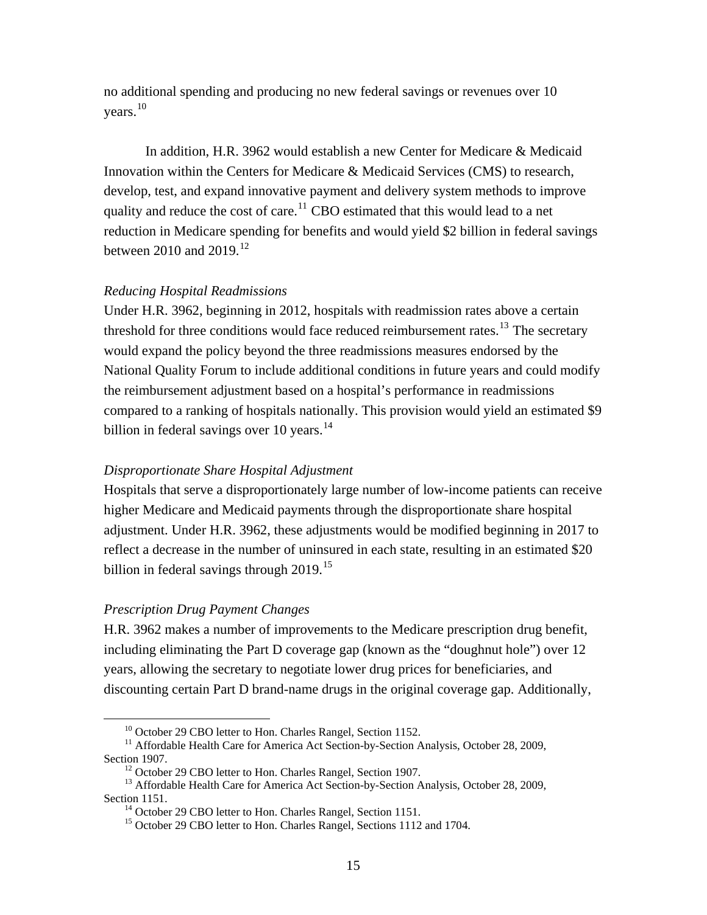no additional spending and producing no new federal savings or revenues over 10 years.<sup>10</sup>

In addition, H.R. 3962 would establish a new Center for Medicare & Medicaid Innovation within the Centers for Medicare & Medicaid Services (CMS) to research, develop, test, and expand innovative payment and delivery system methods to improve quality and reduce the cost of care.<sup>11</sup> CBO estimated that this would lead to a net reduction in Medicare spending for benefits and would yield \$2 billion in federal savings between 2010 and  $2019$ <sup>12</sup>

#### *Reducing Hospital Readmissions*

Under H.R. 3962, beginning in 2012, hospitals with readmission rates above a certain threshold for three conditions would face reduced reimbursement rates.<sup>13</sup> The secretary would expand the policy beyond the three readmissions measures endorsed by the National Quality Forum to include additional conditions in future years and could modify the reimbursement adjustment based on a hospital's performance in readmissions compared to a ranking of hospitals nationally. This provision would yield an estimated \$9 billion in federal savings over 10 years. $14$ 

#### *Disproportionate Share Hospital Adjustment*

Hospitals that serve a disproportionately large number of low-income patients can receive higher Medicare and Medicaid payments through the disproportionate share hospital adjustment. Under H.R. 3962, these adjustments would be modified beginning in 2017 to reflect a decrease in the number of uninsured in each state, resulting in an estimated \$20 billion in federal savings through 2019.<sup>15</sup>

#### *Prescription Drug Payment Changes*

H.R. 3962 makes a number of improvements to the Medicare prescription drug benefit, including eliminating the Part D coverage gap (known as the "doughnut hole") over 12 years, allowing the secretary to negotiate lower drug prices for beneficiaries, and discounting certain Part D brand-name drugs in the original coverage gap. Additionally,

<sup>&</sup>lt;sup>10</sup> October 29 CBO letter to Hon. Charles Rangel, Section 1152.

<sup>&</sup>lt;sup>11</sup> Affordable Health Care for America Act Section-by-Section Analysis, October 28, 2009, Section 1907.<br><sup>12</sup> October 29 CBO letter to Hon. Charles Rangel, Section 1907.

<sup>&</sup>lt;sup>13</sup> Affordable Health Care for America Act Section-by-Section Analysis, October 28, 2009, Section 1151.<br><sup>14</sup> October 29 CBO letter to Hon. Charles Rangel, Section 1151.

<sup>&</sup>lt;sup>15</sup> October 29 CBO letter to Hon. Charles Rangel, Sections 1112 and 1704.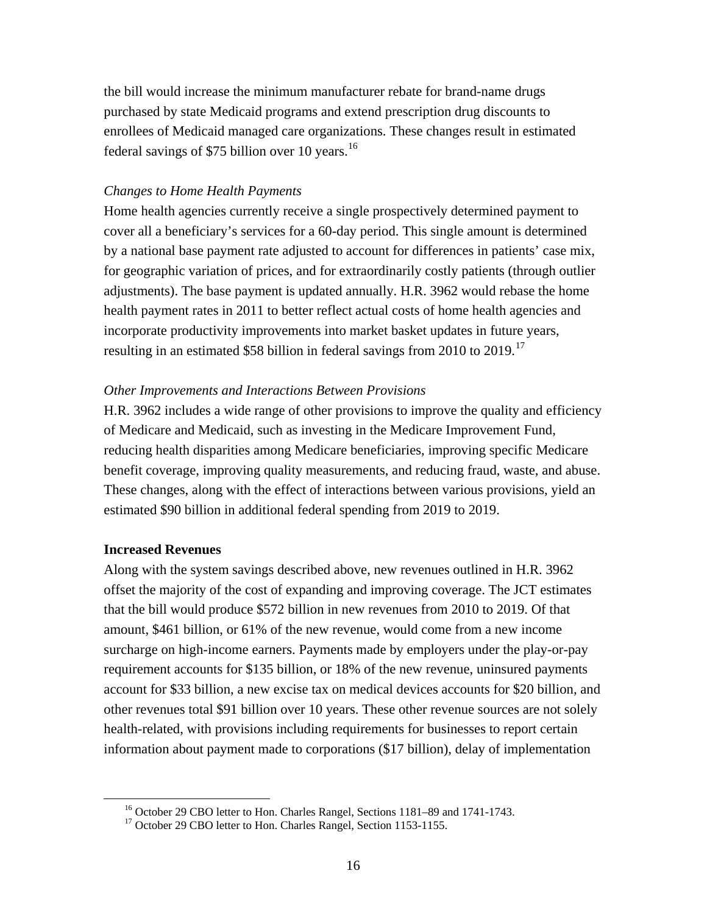the bill would increase the minimum manufacturer rebate for brand-name drugs purchased by state Medicaid programs and extend prescription drug discounts to enrollees of Medicaid managed care organizations. These changes result in estimated federal savings of \$75 billion over 10 years. $^{16}$ 

#### *Changes to Home Health Payments*

Home health agencies currently receive a single prospectively determined payment to cover all a beneficiary's services for a 60-day period. This single amount is determined by a national base payment rate adjusted to account for differences in patients' case mix, for geographic variation of prices, and for extraordinarily costly patients (through outlier adjustments). The base payment is updated annually. H.R. 3962 would rebase the home health payment rates in 2011 to better reflect actual costs of home health agencies and incorporate productivity improvements into market basket updates in future years, resulting in an estimated \$58 billion in federal savings from 2010 to 2019.<sup>17</sup>

#### *Other Improvements and Interactions Between Provisions*

H.R. 3962 includes a wide range of other provisions to improve the quality and efficiency of Medicare and Medicaid, such as investing in the Medicare Improvement Fund, reducing health disparities among Medicare beneficiaries, improving specific Medicare benefit coverage, improving quality measurements, and reducing fraud, waste, and abuse. These changes, along with the effect of interactions between various provisions, yield an estimated \$90 billion in additional federal spending from 2019 to 2019.

#### **Increased Revenues**

Along with the system savings described above, new revenues outlined in H.R. 3962 offset the majority of the cost of expanding and improving coverage. The JCT estimates that the bill would produce \$572 billion in new revenues from 2010 to 2019. Of that amount, \$461 billion, or 61% of the new revenue, would come from a new income surcharge on high-income earners. Payments made by employers under the play-or-pay requirement accounts for \$135 billion, or 18% of the new revenue, uninsured payments account for \$33 billion, a new excise tax on medical devices accounts for \$20 billion, and other revenues total \$91 billion over 10 years. These other revenue sources are not solely health-related, with provisions including requirements for businesses to report certain information about payment made to corporations (\$17 billion), delay of implementation

<sup>&</sup>lt;sup>16</sup> October 29 CBO letter to Hon. Charles Rangel, Sections 1181–89 and 1741-1743.

<sup>&</sup>lt;sup>17</sup> October 29 CBO letter to Hon. Charles Rangel, Section 1153-1155.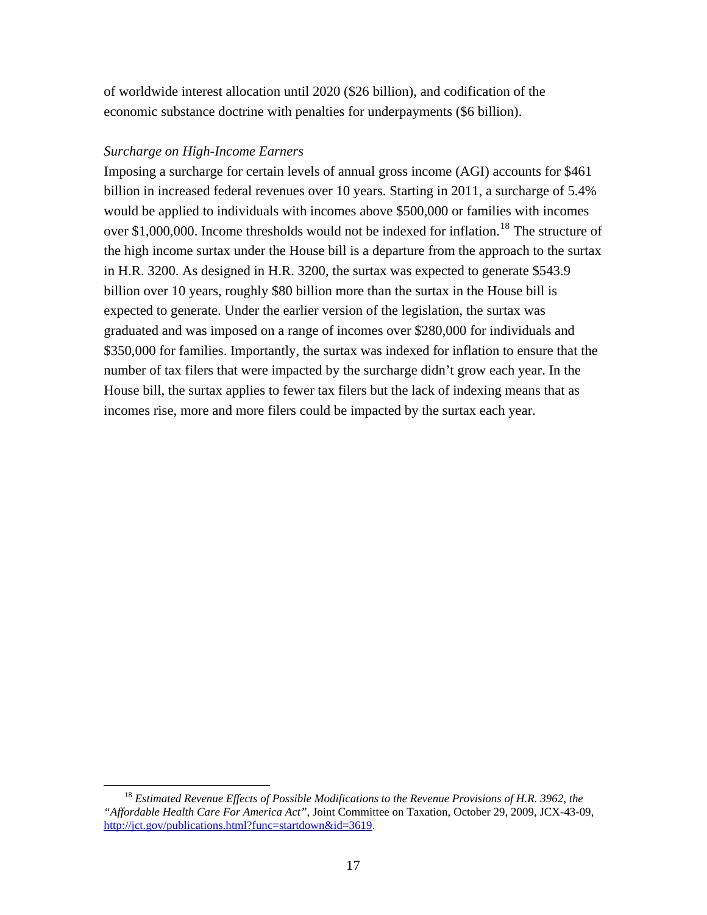of worldwide interest allocation until 2020 (\$26 billion), and codification of the economic substance doctrine with penalties for underpayments (\$6 billion).

## *Surcharge on High-Income Earners*

Imposing a surcharge for certain levels of annual gross income (AGI) accounts for \$461 billion in increased federal revenues over 10 years. Starting in 2011, a surcharge of 5.4% would be applied to individuals with incomes above \$500,000 or families with incomes over \$1,000,000. Income thresholds would not be indexed for inflation.<sup>18</sup> The structure of the high income surtax under the House bill is a departure from the approach to the surtax in H.R. 3200. As designed in H.R. 3200, the surtax was expected to generate \$543.9 billion over 10 years, roughly \$80 billion more than the surtax in the House bill is expected to generate. Under the earlier version of the legislation, the surtax was graduated and was imposed on a range of incomes over \$280,000 for individuals and \$350,000 for families. Importantly, the surtax was indexed for inflation to ensure that the number of tax filers that were impacted by the surcharge didn't grow each year. In the House bill, the surtax applies to fewer tax filers but the lack of indexing means that as incomes rise, more and more filers could be impacted by the surtax each year.

 <sup>18</sup> *Estimated Revenue Effects of Possible Modifications to the Revenue Provisions of H.R. 3962, the "Affordable Health Care For America Act"*, Joint Committee on Taxation, October 29, 2009, JCX-43-09, <http://jct.gov/publications.html?func=startdown&id=3619>.